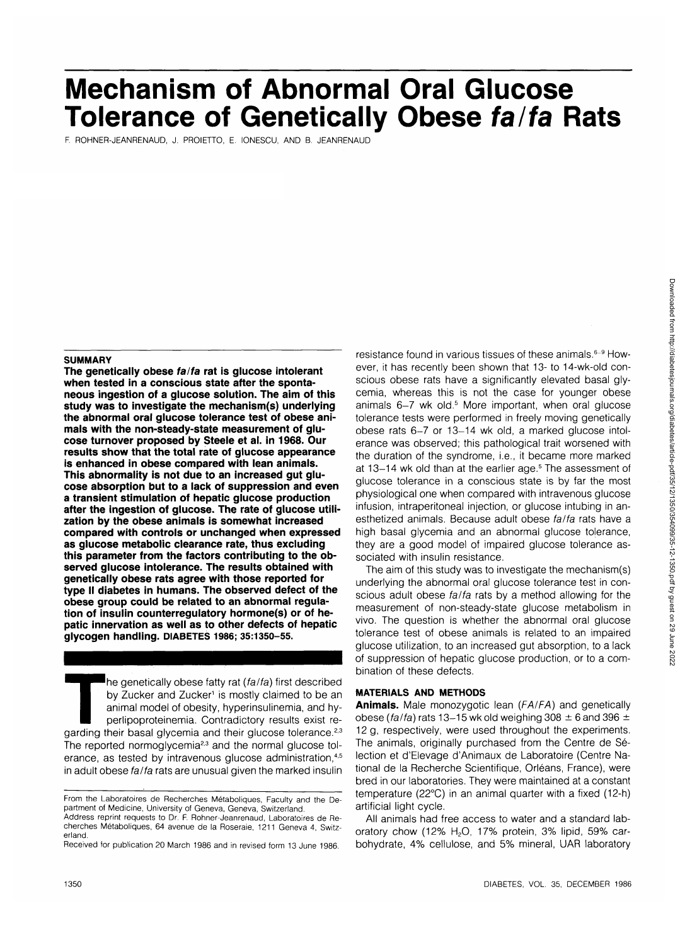# **Mechanism of Abnormal Oral Glucose Tolerance of Genetically Obese fa/fa Rats**

F. ROHNER-JEANRENAUD, J. PROIETTO, E. IONESCU, AND B. JEANRENAUD

#### **SUMMARY**

**The genetically obese fa/fa rat is glucose intolerant when tested in a conscious state after the spontaneous ingestion of a glucose solution. The aim of this study was to investigate the mechanism(s) underlying the abnormal oral glucose tolerance test of obese animals with the non-steady-state measurement of glucose turnover proposed by Steele et al. in 1968. Our results show that the total rate of glucose appearance is enhanced in obese compared with lean animals. This abnormality is not due to an increased gut glucose absorption but to a lack of suppression and even a transient stimulation of hepatic glucose production after the ingestion of glucose. The rate of glucose utilization by the obese animals is somewhat increased compared with controls or unchanged when expressed as glucose metabolic clearance rate, thus excluding this parameter from the factors contributing to the observed glucose intolerance. The results obtained with genetically obese rats agree with those reported for type II diabetes in humans. The observed defect of the obese group could be related to an abnormal regulation of insulin counterregulatory hormone(s) or of hepatic innervation as well as to other defects of hepatic glycogen handling. DIABETES 1986; 35:1350-55.**

The genetically obese fatty rat (fa/fa) first described<br>by Zucker and Zucker' is mostly claimed to be an<br>animal model of obesity, hyperinsulinemia, and hy-<br>perlipoproteinemia. Contradictory results exist re-<br>garding their by Zucker and Zucker<sup>1</sup> is mostly claimed to be an animal model of obesity, hyperinsulinemia, and hyperlipoproteinemia. Contradictory results exist re-The reported normoglycemia<sup>2,3</sup> and the normal glucose tolerance, as tested by intravenous glucose administration,<sup>4,5</sup> in adult obese fa/fa rats are unusual given the marked insulin

resistance found in various tissues of these animals.<sup>6-9</sup> However, it has recently been shown that 13- to 14-wk-old conscious obese rats have a significantly elevated basal glycemia, whereas this is not the case for younger obese animals 6–7 wk old.<sup>5</sup> More important, when oral glucose tolerance tests were performed in freely moving genetically obese rats 6-7 or 13-14 wk old, a marked glucose intolerance was observed; this pathological trait worsened with the duration of the syndrome, i.e., it became more marked at 13-14 wk old than at the earlier age.<sup>5</sup> The assessment of glucose tolerance in a conscious state is by far the most physiological one when compared with intravenous glucose infusion, intraperitoneal injection, or glucose intubing in anesthetized animals. Because adult obese fa/fa rats have a high basal glycemia and an abnormal glucose tolerance, they are a good model of impaired glucose tolerance associated with insulin resistance.

The aim of this study was to investigate the mechanism(s) underlying the abnormal oral glucose tolerance test in conscious adult obese fa/fa rats by a method allowing for the measurement of non-steady-state glucose metabolism in vivo. The question is whether the abnormal oral glucose tolerance test of obese animals is related to an impaired glucose utilization, to an increased gut absorption, to a lack of suppression of hepatic glucose production, or to a combination of these defects.

# **MATERIALS AND METHODS**

**Animals.** Male monozygotic lean {FA/FA) and genetically obese (fa/fa) rats 13-15 wk old weighing 308  $\pm$  6 and 396  $\pm$ 12 g, respectively, were used throughout the experiments. The animals, originally purchased from the Centre de Selection et d'Elevage d'Animaux de Laboratoire (Centre National de la Recherche Scientifique, Orléans, France), were bred in our laboratories. They were maintained at a constant temperature (22°C) in an animal quarter with a fixed (12-h) artificial light cycle.

All animals had free access to water and a standard laboratory chow (12%  $H<sub>2</sub>O$ , 17% protein, 3% lipid, 59% carbohydrate, 4% cellulose, and 5% mineral, UAR laboratory

From the Laboratoires de Recherches Métaboliques, Faculty and the Department of Medicine, University of Geneva, Geneva, Switzerland.

Address reprint requests to Dr. F. Rohner-Jeanrenaud, Laboratoires de Recherches Metaboliques, 64 avenue de la Roseraie, 1211 Geneva 4, Switzerland.

Received for publication 20 March 1986 and in revised form 13 June 1986.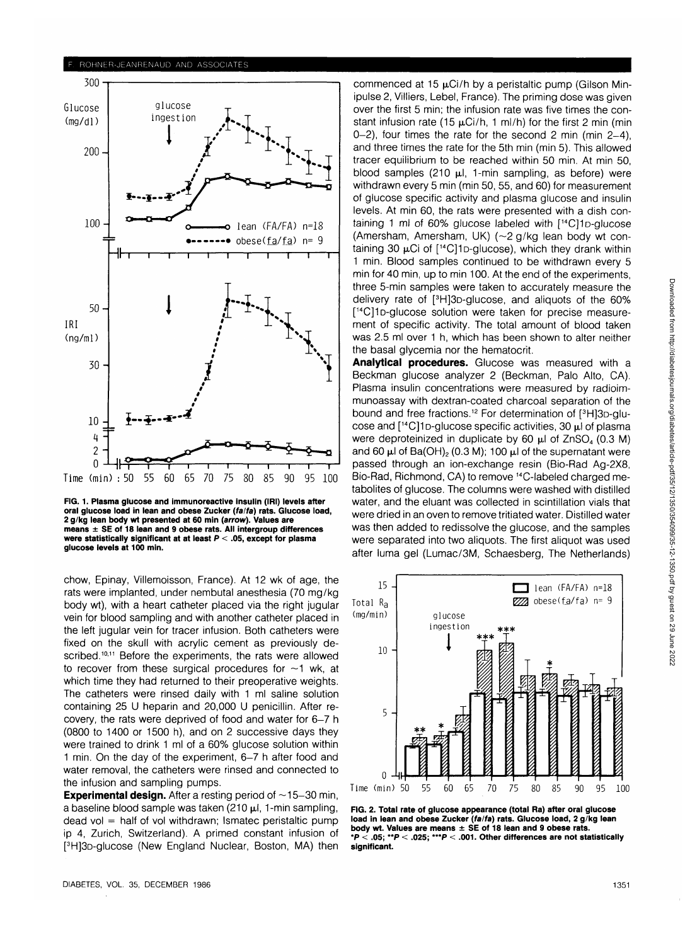

**FIG. 1. Plasma glucose and immunoreactive insulin (IRI) levels after oral glucose load in lean and obese Zucker (fa/fa) rats. Glucose load, 2 g/kg lean body wt presented at 60 min (arrow). Values are means ± SE of 18 lean and 9 obese rats. All intergroup differences were statistically significant at at least P < .05, except for plasma glucose levels at 100 min.**

chow, Epinay, Villemoisson, France). At 12 wk of age, the rats were implanted, under nembutal anesthesia (70 mg/kg body wt), with a heart catheter placed via the right jugular vein for blood sampling and with another catheter placed in the left jugular vein for tracer infusion. Both catheters were fixed on the skull with acrylic cement as previously described.<sup>10,11</sup> Before the experiments, the rats were allowed to recover from these surgical procedures for  $\sim$ 1 wk, at which time they had returned to their preoperative weights. The catheters were rinsed daily with 1 ml saline solution containing 25 U heparin and 20,000 U penicillin. After recovery, the rats were deprived of food and water for 6-7 h (0800 to 1400 or 1500 h), and on 2 successive days they were trained to drink 1 ml of a 60% glucose solution within 1 min. On the day of the experiment, 6-7 h after food and water removal, the catheters were rinsed and connected to the infusion and sampling pumps.

**Experimental design.** After a resting period of  $\sim$ 15-30 min, a baseline blood sample was taken (210  $\mu$ l, 1-min sampling,  $dead$  vol = half of vol withdrawn; Ismatec peristaltic pump ip 4, Zurich, Switzerland). A primed constant infusion of <sup>3</sup>H<sub>1</sub>3<sub>D</sub>-glucose (New England Nuclear, Boston, MA) then

commenced at 15  $\mu$ Ci/h by a peristaltic pump (Gilson Minipulse 2, Villiers, Lebel, France). The priming dose was given over the first 5 min; the infusion rate was five times the constant infusion rate (15  $\mu$ Ci/h, 1 ml/h) for the first 2 min (min 0-2), four times the rate for the second 2 min (min 2-4), and three times the rate for the 5th min (min 5). This allowed tracer equilibrium to be reached within 50 min. At min 50, blood samples (210  $\mu$ l, 1-min sampling, as before) were withdrawn every 5 min (min 50, 55, and 60) for measurement of glucose specific activity and plasma glucose and insulin levels. At min 60, the rats were presented with a dish containing 1 ml of 60% glucose labeled with [<sup>14</sup>C]1<sub>D</sub>-glucose (Amersham, Amersham, UK) (~2 g/kg lean body wt containing 30  $\mu$ Ci of  $[$ <sup>14</sup>C<sub>11</sub>D-glucose), which they drank within 1 min. Blood samples continued to be withdrawn every 5 min for 40 min, up to min 100. At the end of the experiments, three 5-min samples were taken to accurately measure the delivery rate of [<sup>3</sup> H]3D-glucose, and aliquots of the 60% [ 14C]iD-glucose solution were taken for precise measurement of specific activity. The total amount of blood taken was 2.5 ml over 1 h, which has been shown to alter neither the basal glycemia nor the hematocrit.

**Analytical procedures.** Glucose was measured with a Beckman glucose analyzer 2 (Beckman, Palo Alto, CA). Plasma insulin concentrations were measured by radioimmunoassay with dextran-coated charcoal separation of the bound and free fractions.<sup>12</sup> For determination of [3H]3D-glucose and  $[$ <sup>14</sup>C]1<sub>D</sub>-glucose specific activities, 30  $\mu$ l of plasma were deproteinized in duplicate by 60  $\mu$ l of ZnSO<sub>4</sub> (0.3 M) and 60  $\mu$ l of Ba(OH)<sub>2</sub> (0.3 M); 100  $\mu$ l of the supernatant were passed through an ion-exchange resin (Bio-Rad Ag-2X8, Bio-Rad, Richmond, CA) to remove 14C-labeled charged metabolites of glucose. The columns were washed with distilled water, and the eluant was collected in scintillation vials that were dried in an oven to remove tritiated water. Distilled water was then added to redissolve the glucose, and the samples were separated into two aliquots. The first aliquot was used after luma gel (Lumac/3M, Schaesberg, The Netherlands)



**FIG. 2. Total rate of glucose appearance (total Ra) after oral glucose load in lean and obese Zucker (fa/fa) rats. Glucose load, 2 g/kg lean body wt. Values are means ± SE of 18 lean and 9 obese rats. \*P < .05; \*\*P < .025; \*\*\*P < .001. Other differences are not statistically significant.**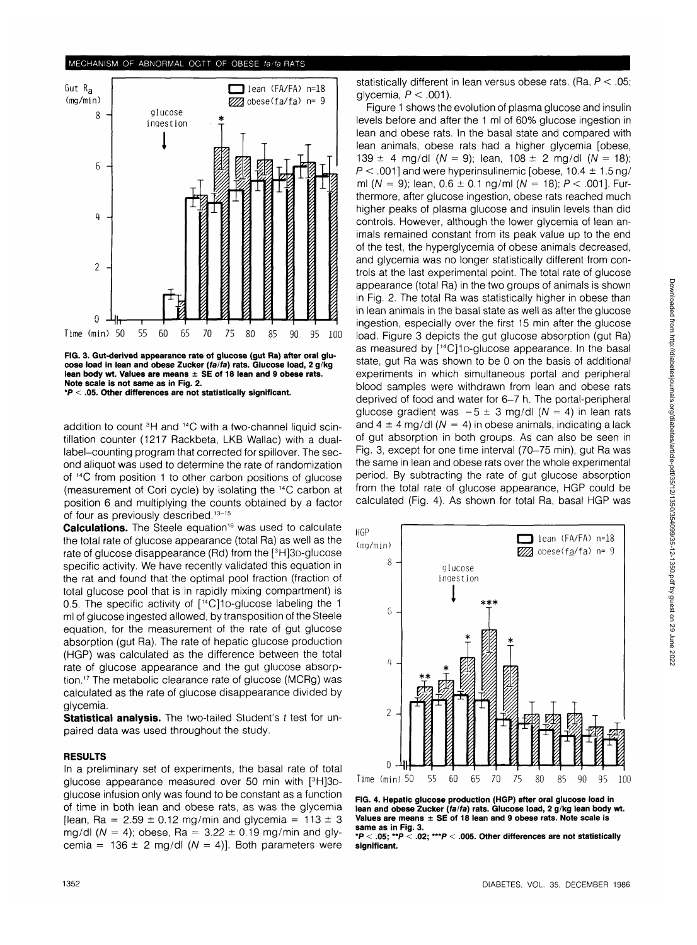### **MECHANISM OF ABNORMAL OGTT OF OBESE fa/fa RATS**



**FIG. 3. Gut-derived appearance rate of glucose (gut Ra) after oral glucose load in lean and obese Zucker (fa/fa) rats. Glucose load, 2 g/kg lean body wt. Values are means ± SE of 18 lean and 9 obese rats. Note scale is not same as in Fig. 2. \*P < .05. Other differences are not statistically significant.**

addition to count <sup>3</sup>H and <sup>14</sup>C with a two-channel liquid scintillation counter (1217 Rackbeta, LKB Wallac) with a duallabel-counting program that corrected for spillover. The second aliquot was used to determine the rate of randomization of <sup>14</sup>C from position 1 to other carbon positions of glucose (measurement of Cori cycle) by isolating the 14C carbon at position 6 and multiplying the counts obtained by a factor of four as previously described.<sup>13-15</sup>

**Calculations.** The Steele equation<sup>16</sup> was used to calculate the total rate of glucose appearance (total Ra) as well as the rate of glucose disappearance (Rd) from the [<sup>3</sup>H]3D-glucose specific activity. We have recently validated this equation in the rat and found that the optimal pool fraction (fraction of total glucose pool that is in rapidly mixing compartment) is 0.5. The specific activity of [<sup>14</sup>C]1D-glucose labeling the 1 ml of glucose ingested allowed, by transposition of the Steele equation, for the measurement of the rate of gut glucose absorption (gut Ra). The rate of hepatic glucose production (HGP) was calculated as the difference between the total rate of glucose appearance and the gut glucose absorption.<sup>17</sup> The metabolic clearance rate of glucose (MCRg) was calculated as the rate of glucose disappearance divided by glycemia.

**Statistical analysis.** The two-tailed Student's t test for unpaired data was used throughout the study.

## **RESULTS**

In a preliminary set of experiments, the basal rate of total glucose appearance measured over 50 min with [<sup>3</sup>H]3Dglucose infusion only was found to be constant as a function of time in both lean and obese rats, as was the glycemia [lean, Ra =  $2.59 \pm 0.12$  mg/min and glycemia =  $113 \pm 3$ mg/dl ( $N = 4$ ); obese, Ra = 3.22  $\pm$  0.19 mg/min and glycemia =  $136 \pm 2$  mg/dl (N = 4)]. Both parameters were statistically different in lean versus obese rats. (Ra,  $P < .05$ ; glycemia,  $P < .001$ ).

Figure 1 shows the evolution of plasma glucose and insulin levels before and after the 1 ml of 60% glucose ingestion in lean and obese rats. In the basal state and compared with lean animals, obese rats had a higher glycemia [obese, 139  $\pm$  4 mg/dl (N = 9); lean, 108  $\pm$  2 mg/dl (N = 18);  $P < .001$ ] and were hyperinsulinemic [obese,  $10.4 \pm 1.5$  ng/ ml (N = 9); lean,  $0.6 \pm 0.1$  ng/ml (N = 18); P < .001]. Furthermore, after glucose ingestion, obese rats reached much higher peaks of plasma glucose and insulin levels than did controls. However, although the lower glycemia of lean animals remained constant from its peak value up to the end of the test, the hyperglycemia of obese animals decreased, and glycemia was no longer statistically different from controls at the last experimental point. The total rate of glucose appearance (total Ra) in the two groups of animals is shown in Fig. 2. The total Ra was statistically higher in obese than in lean animals in the basal state as well as after the glucose ingestion, especially over the first 15 min after the glucose load. Figure 3 depicts the gut glucose absorption (gut Ra) as measured by [<sup>14</sup>C]1<sub>D</sub>-glucose appearance. In the basal state, gut Ra was shown to be 0 on the basis of additional experiments in which simultaneous portal and peripheral blood samples were withdrawn from lean and obese rats deprived of food and water for 6-7 h. The portal-peripheral glucose gradient was  $-5 \pm 3$  mg/dl ( $N = 4$ ) in lean rats and  $4 \pm 4$  mg/dl ( $N = 4$ ) in obese animals, indicating a lack of gut absorption in both groups. As can also be seen in Fig. 3, except for one time interval (70-75 min), gut Ra was the same in lean and obese rats over the whole experimental period. By subtracting the rate of gut glucose absorption from the total rate of glucose appearance, HGP could be calculated (Fig. 4). As shown for total Ra, basal HGP was



**FIG. 4. Hepatic glucose production (HGP) after oral glucose load in lean and obese Zucker (fa/fa) rats. Glucose load, 2 g/kg lean body wt. Values are means ± SE of 18 lean and 9 obese rats. Note scale is same as in Fig. 3.**

**\*P < .05; "P < .02; \*\*\*P < .005. Other differences are not statistically significant.**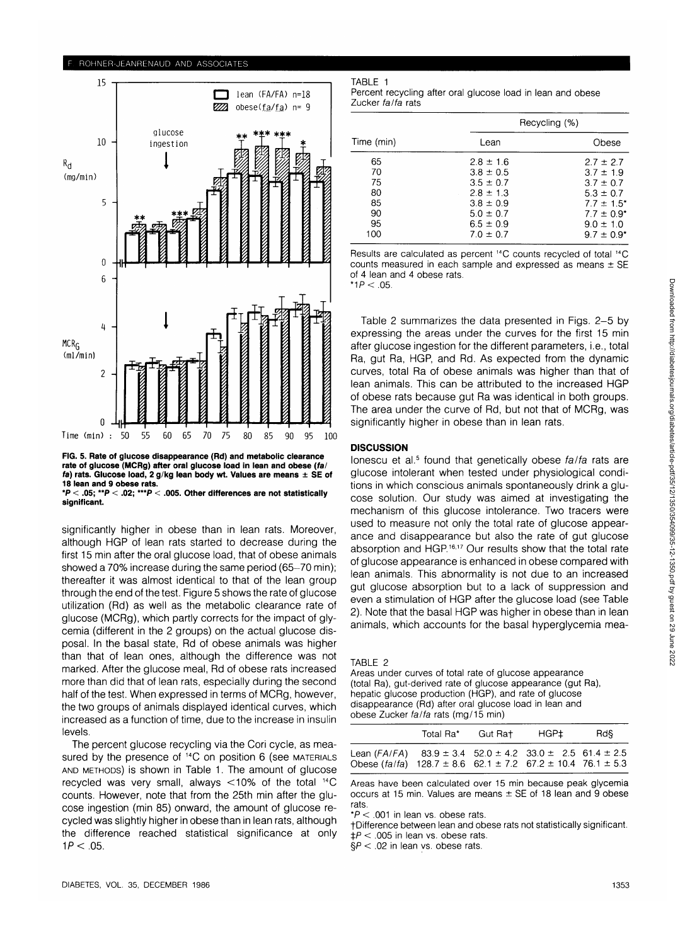15

ROHNER-JEANRENAUD AND ASSOCIATES



**FIG. 5. Rate of glucose disappearance (Rd) and metabolic clearance rate of glucose (MCRg) after oral glucose load in lean and obese {fa/ fa) rats. Glucose load, 2 g/kg lean body wt. Values are means ± SE of 18 lean and 9 obese rats.**

**\*P < .05; \*\*P < .02; \*"P < .005. Other differences are not statistically significant.**

significantly higher in obese than in lean rats. Moreover, although HGP of lean rats started to decrease during the first 15 min after the oral glucose load, that of obese animals showed a 70% increase during the same period (65-70 min); thereafter it was almost identical to that of the lean group through the end of the test. Figure 5 shows the rate of glucose utilization (Rd) as well as the metabolic clearance rate of glucose (MCRg), which partly corrects for the impact of glycemia (different in the 2 groups) on the actual glucose disposal. In the basal state, Rd of obese animals was higher than that of lean ones, although the difference was not marked. After the glucose meal, Rd of obese rats increased more than did that of lean rats, especially during the second half of the test. When expressed in terms of MCRg, however, the two groups of animals displayed identical curves, which increased as a function of time, due to the increase in insulin levels.

The percent glucose recycling via the Cori cycle, as measured by the presence of <sup>14</sup>C on position 6 (see MATERIALS AND METHODS) is shown in Table 1. The amount of glucose recycled was very small, always <10% of the total 14C counts. However, note that from the 25th min after the glucose ingestion (min 85) onward, the amount of glucose recycled was slightly higher in obese than in lean rats, although the difference reached statistical significance at only  $1P < .05$ .

TABLE 1

lean (FA/FA) n=18

Percent recycling after oral glucose load in lean and obese Zucker fa/fa rats

| Time (min)                                    |                                                                                                                                      | Recycling (%)                                                                                                                              |
|-----------------------------------------------|--------------------------------------------------------------------------------------------------------------------------------------|--------------------------------------------------------------------------------------------------------------------------------------------|
|                                               | Lean                                                                                                                                 | Obese                                                                                                                                      |
| 65<br>70<br>75<br>80<br>85<br>90<br>95<br>100 | $2.8 \pm 1.6$<br>$3.8 \pm 0.5$<br>$3.5 \pm 0.7$<br>$2.8 \pm 1.3$<br>$3.8 \pm 0.9$<br>$5.0 \pm 0.7$<br>$6.5 \pm 0.9$<br>$7.0 \pm 0.7$ | $2.7 \pm 2.7$<br>$3.7 \pm 1.9$<br>$3.7 \pm 0.7$<br>$5.3 \pm 0.7$<br>$7.7 \pm 1.5^*$<br>$7.7 \pm 0.9^*$<br>$9.0 \pm 1.0$<br>$9.7 \pm 0.9^*$ |

Results are calculated as percent <sup>14</sup>C counts recycled of total <sup>14</sup>C counts measured in each sample and expressed as means  $\pm$  SE of 4 lean and 4 obese rats.

 $*1P < .05$ .

Table 2 summarizes the data presented in Figs. 2-5 by expressing the areas under the curves for the first 15 min after glucose ingestion for the different parameters, i.e., total Ra, gut Ra, HGP, and Rd. As expected from the dynamic curves, total Ra of obese animals was higher than that of lean animals. This can be attributed to the increased HGP of obese rats because gut Ra was identical in both groups. The area under the curve of Rd, but not that of MCRg, was significantly higher in obese than in lean rats.

# **DISCUSSION**

lonescu et al.<sup>5</sup> found that genetically obese *fa/fa* rats are glucose intolerant when tested under physiological conditions in which conscious animals spontaneously drink a glucose solution. Our study was aimed at investigating the mechanism of this glucose intolerance. Two tracers were used to measure not only the total rate of glucose appearance and disappearance but also the rate of gut glucose absorption and HGP.<sup>16,17</sup> Our results show that the total rate of glucose appearance is enhanced in obese compared with lean animals. This abnormality is not due to an increased gut glucose absorption but to a lack of suppression and even a stimulation of HGP after the glucose load (see Table 2). Note that the basal HGP was higher in obese than in lean animals, which accounts for the basal hyperglycemia mea-

Areas under curves of total rate of glucose appearance (total Ra), gut-derived rate of glucose appearance (gut Ra), hepatic glucose production (HGP), and rate of glucose disappearance (Rd) after oral glucose load in lean and obese Zucker fa/fa rats (mg/15 min)

|                                                                                                                                                         | Total Ra* | Gut Rat | HGP± | Rd§ |
|---------------------------------------------------------------------------------------------------------------------------------------------------------|-----------|---------|------|-----|
| Lean (FA/FA) $83.9 \pm 3.4$ $52.0 \pm 4.2$ $33.0 \pm 2.5$ 61.4 $\pm 2.5$<br>Obese (fa/fa) $128.7 \pm 8.6$ 62.1 $\pm$ 7.2 67.2 $\pm$ 10.4 76.1 $\pm$ 5.3 |           |         |      |     |

Areas have been calculated over 15 min because peak glycemia occurs at 15 min. Values are means  $\pm$  SE of 18 lean and 9 obese rats.

 $*P < .001$  in lean vs. obese rats.

fDifference between lean and obese rats not statistically significant.  $\pm P < 0.005$  in lean vs. obese rats.

 $\S P < .02$  in lean vs. obese rats.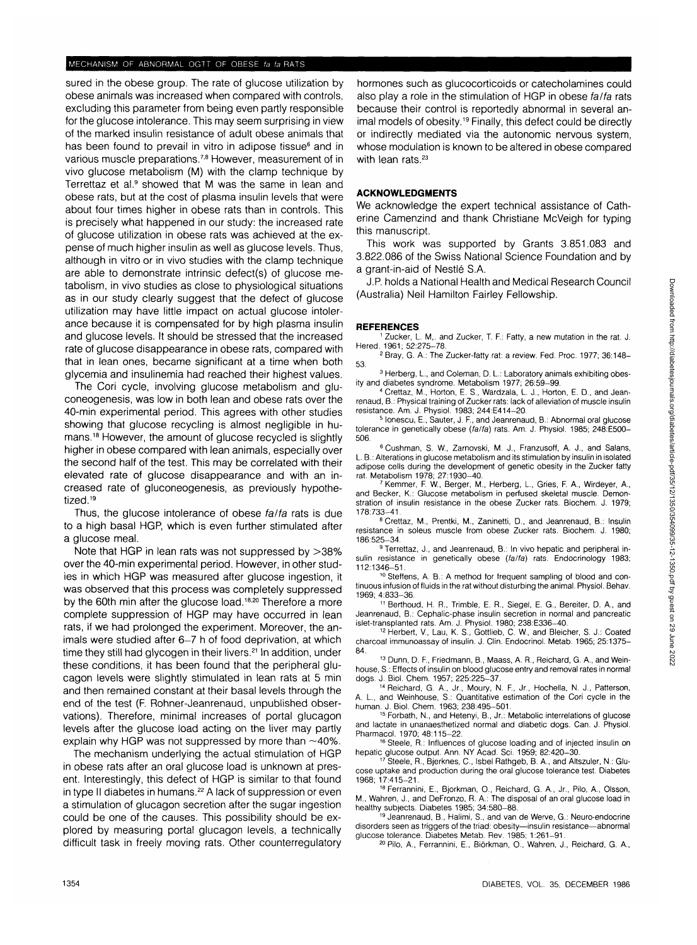### MECHANISM OF ABNORMAL OGTT OF OBESE fa fa RATS

sured in the obese group. The rate of glucose utilization by obese animals was increased when compared with controls, excluding this parameter from being even partly responsible for the glucose intolerance. This may seem surprising in view of the marked insulin resistance of adult obese animals that has been found to prevail in vitro in adipose tissue<sup>6</sup> and in various muscle preparations.<sup>7,8</sup> However, measurement of in vivo glucose metabolism (M) with the clamp technique by Terrettaz et al.<sup>9</sup> showed that M was the same in lean and obese rats, but at the cost of plasma insulin levels that were about four times higher in obese rats than in controls. This is precisely what happened in our study: the increased rate of glucose utilization in obese rats was achieved at the expense of much higher insulin as well as glucose levels. Thus, although in vitro or in vivo studies with the clamp technique are able to demonstrate intrinsic defect(s) of glucose metabolism, in vivo studies as close to physiological situations as in our study clearly suggest that the defect of glucose utilization may have little impact on actual glucose intolerance because it is compensated for by high plasma insulin and glucose levels. It should be stressed that the increased rate of glucose disappearance in obese rats, compared with that in lean ones, became significant at a time when both glycemia and insulinemia had reached their highest values.

The Cori cycle, involving glucose metabolism and gluconeogenesis, was low in both lean and obese rats over the 40-min experimental period. This agrees with other studies showing that glucose recycling is almost negligible in humans.<sup>18</sup> However, the amount of glucose recycled is slightly higher in obese compared with lean animals, especially over the second half of the test. This may be correlated with their elevated rate of glucose disappearance and with an increased rate of gluconeogenesis, as previously hypothetized.<sup>19</sup>

Thus, the glucose intolerance of obese fa/fa rats is due to a high basal HGP, which is even further stimulated after a glucose meal.

Note that HGP in lean rats was not suppressed by >38% over the 40-min experimental period. However, in other studies in which HGP was measured after glucose ingestion, it was observed that this process was completely suppressed by the 60th min after the glucose load.<sup>18,20</sup> Therefore a more complete suppression of HGP may have occurred in lean rats, if we had prolonged the experiment. Moreover, the animals were studied after 6-7 h of food deprivation, at which time they still had glycogen in their livers.<sup>21</sup> In addition, under these conditions, it has been found that the peripheral glucagon levels were slightly stimulated in lean rats at 5 min and then remained constant at their basal levels through the end of the test (F. Rohner-Jeanrenaud, unpublished observations). Therefore, minimal increases of portal glucagon levels after the glucose load acting on the liver may partly explain why HGP was not suppressed by more than  $\sim$ 40%.

The mechanism underlying the actual stimulation of HGP in obese rats after an oral glucose load is unknown at present. Interestingly, this defect of HGP is similar to that found in type II diabetes in humans.<sup>22</sup> A lack of suppression or even a stimulation of glucagon secretion after the sugar ingestion could be one of the causes. This possibility should be explored by measuring portal glucagon levels, a technically difficult task in freely moving rats. Other counterregulatory hormones such as glucocorticoids or catecholamines could also play a role in the stimulation of HGP in obese fa/fa rats because their control is reportedly abnormal in several animal models of obesity.<sup>19</sup> Finally, this defect could be directly or indirectly mediated via the autonomic nervous system, whose modulation is known to be altered in obese compared with lean rats.<sup>23</sup>

# **ACKNOWLEDGMENTS**

We acknowledge the expert technical assistance of Catherine Camenzind and thank Christiane McVeigh for typing this manuscript.

This work was supported by Grants 3.851.083 and 3.822.086 of the Swiss National Science Foundation and by a grant-in-aid of Nestle S.A.

J.P. holds a National Health and Medical Research Council (Australia) Neil Hamilton Fairley Fellowship.

#### **REFERENCES**

<sup>1</sup> Zucker, L. M,. and Zucker, T. F.: Fatty, a new mutation in the rat. J.

Hered. 1961; 52:275-78. <sup>2</sup> Bray, G. A.: The Zucker-fatty rat: a review. Fed. Proc. 1977; 36:148- 53. <sup>3</sup>

<sup>3</sup> Herberg, L., and Coleman, D. L.: Laboratory animals exhibiting obes-<br>ity and diabetes syndrome. Metabolism 1977: 26:59-99.

ity and diabetes syndrome. Metabolism 1977; 26:59–99.<br>4 Crettaz, M., Horton, E. S., Wardzala, L. J., Horton, E. D., and Jean-<br>renaud, B.: Physical training of Zucker rats: lack of alleviation of muscle insulin resistance. Am. J. Physiol. 1983; 244:E414-20. <sup>5</sup>

 lonescu, E., Sauter, J. F, and Jeanrenaud, B.: Abnormal oral glucose tolerance in genetically obese (fa/fa) rats. Am. J. Physiol. 1985; 248:E500-506.

6 Cushman, S. W., Zarnovski, M. J., Franzusoff, A. J., and Salans, L. B.: Alterations in glucose metabolism and its stimulation by insulin in isolated adipose cells during the development of genetic obesity in the Zucker fatty rat. Metabolism 1978; 27:1930-40

 Kemmer, F W., Berger, M., Herberg, L, Gries, F A., Wirdeyer, A., and Becker, K.: Glucose metabolism in perfused skeletal muscle. Demonstration of insulin resistance in the obese Zucker rats. Biochem. J. 1979; 178:733-41.

8 Crettaz, M., Prentki, M., Zaninetti, D., and Jeanrenaud, B.: Insulin resistance in soleus muscle from obese Zucker rats. Biochem. J. 1980; 186.525-34. <sup>9</sup>

<sup>9</sup> Terrettaz, J., and Jeanrenaud, B.: In vivo hepatic and peripheral insulin resistance in genetically obese (fa/fa) rats. Endocrinology 1983;<br>112:1346-51.

<sup>10</sup> Steffens, A. B.: A method for frequent sampling of blood and continuous infusion of fluids in the rat without disturbing the animal. Physiol. Behav. 1969; 4:833-36.

11 Berthoud, H. R., Trimble, E. R., Siegel, E. G., Bereiter, D. A., and Jeanrenaud, B.: Cephalic-phase insulin secretion in normal and pancreatic islet-transplanted rats. Am. J. Physiol. 1980; 238:E336-40.

<sup>12</sup> Herbert, V., Lau, K. S., Gottlieb, C. W., and Bleicher, S. J.: Coated charcoal immunoassay of insulin. J. Clin. Endocrinol. Metab. 1965; 25:1375- 84.

<sup>13</sup> Dunn, D. F., Friedmann, B., Maass, A. R., Reichard, G. A., and Weinhouse, S.: Effects of insulin on blood glucose entry and removal rates in normal dogs. J. Biol. Chem. 1957; 225:225-37. <sup>14</sup>

<sup>14</sup> Reichard, G. A., Jr., Moury, N. F., Jr., Hochella, N. J., Patterson,<br>A. L., and Weinhouse, S.: Quantitative estimation of the Cori cycle in the human. J. Biol. Chem. 1963; 238:495-501.

15 Forbath, N., and Hetenyi, B., Jr.: Metabolic interrelations of glucose and lactate in unanaesthetized normal and diabetic dogs. Can. J. Physiol. Pharmacol. 1970; 48:115-22.

<sup>16</sup> Steele, R.: Influences of glucose loading and of injected insulin on hepatic glucose output. Ann. NY Acad. Sci. 1959; 82:420-30.

 Steele, R., Bjerknes, C, Isbel Rathgeb, B. A., and Altszuler, N.: Glucose uptake and production during the oral glucose tolerance test. Diabetes 1968; 17:415-21

<sup>18</sup> Ferrannini, E., Bjorkman, O., Reichard, G. A., Jr., Pilo, A., Olsson, M., Wahren, J., and DeFronzo, R. A.: The disposal of an oral glucose load in healthy subjects. Diabetes 1985; 34:580–88.<br><sup>19</sup> Jeanrenaud, B., Halimi, S., and van de Werve, G.: Neuro-endocrine

disorders seen as triggers of the triad: obesity—insulin resistance—abnormal glucose tolerance. Diabetes Metab. Rev. 1985; 1:261-91.

Pilo, A., Ferrannini, E., Biorkman, O, Wahren, J., Reichard, G. A.,